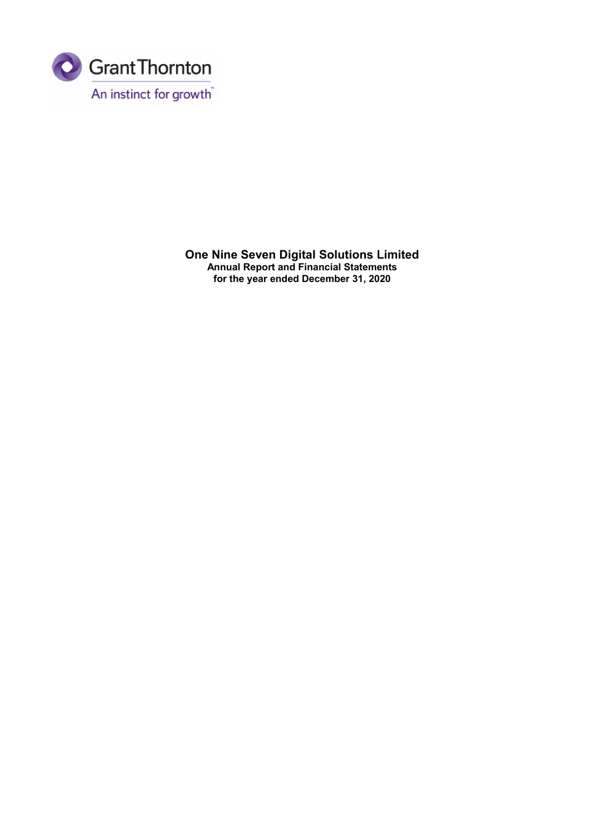

**One Nine Seven Digital Solutions Limited Annual Report and Financial Statements for the year ended December 31, 2020**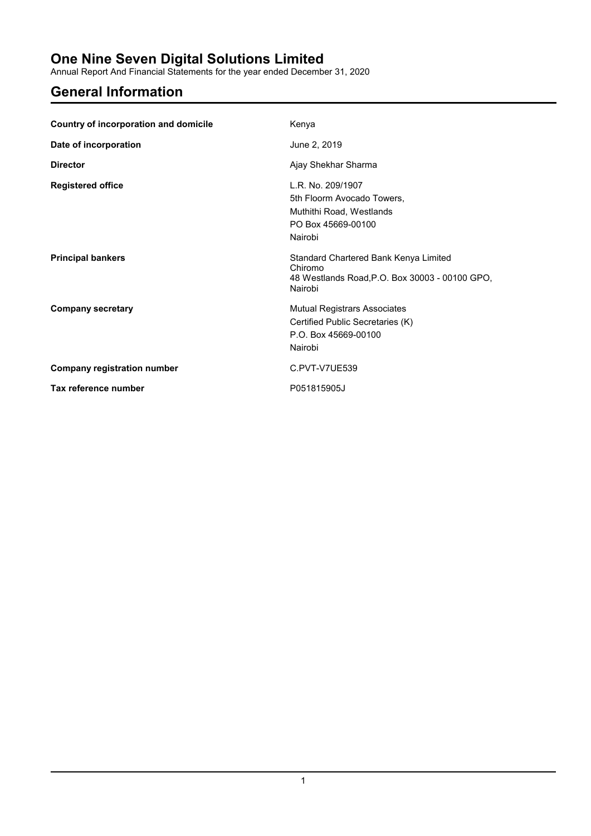Annual Report And Financial Statements for the year ended December 31, 2020

# **General Information**

| Country of incorporation and domicile | Kenya                                                                                                         |
|---------------------------------------|---------------------------------------------------------------------------------------------------------------|
| Date of incorporation                 | June 2, 2019                                                                                                  |
| <b>Director</b>                       | Ajay Shekhar Sharma                                                                                           |
| <b>Registered office</b>              | L.R. No. 209/1907<br>5th Floorm Avocado Towers,<br>Muthithi Road, Westlands<br>PO Box 45669-00100<br>Nairobi  |
| <b>Principal bankers</b>              | Standard Chartered Bank Kenya Limited<br>Chiromo<br>48 Westlands Road, P.O. Box 30003 - 00100 GPO,<br>Nairobi |
| <b>Company secretary</b>              | <b>Mutual Registrars Associates</b><br>Certified Public Secretaries (K)<br>P.O. Box 45669-00100<br>Nairobi    |
| <b>Company registration number</b>    | C.PVT-V7UE539                                                                                                 |
| Tax reference number                  | P051815905J                                                                                                   |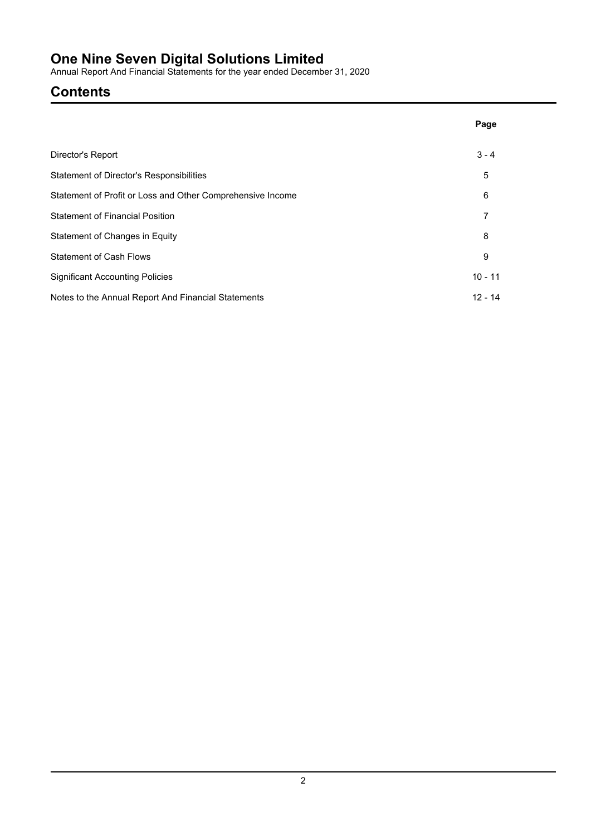Annual Report And Financial Statements for the year ended December 31, 2020

# **Contents**

|                                                            | Page      |
|------------------------------------------------------------|-----------|
| Director's Report                                          | $3 - 4$   |
| Statement of Director's Responsibilities                   | 5         |
| Statement of Profit or Loss and Other Comprehensive Income | 6         |
| <b>Statement of Financial Position</b>                     | 7         |
| Statement of Changes in Equity                             | 8         |
| <b>Statement of Cash Flows</b>                             | 9         |
| <b>Significant Accounting Policies</b>                     | $10 - 11$ |
| Notes to the Annual Report And Financial Statements        | $12 - 14$ |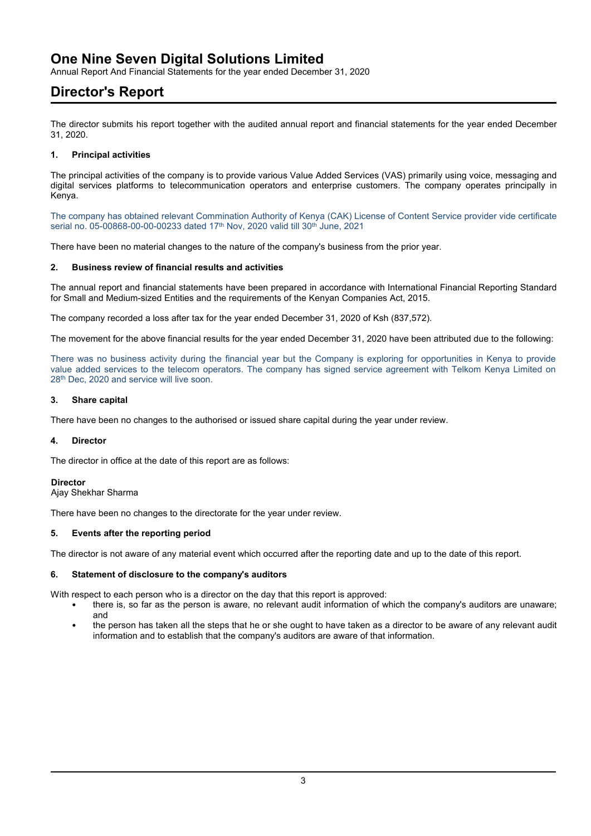Annual Report And Financial Statements for the year ended December 31, 2020

### **Director's Report**

The director submits his report together with the audited annual report and financial statements for the year ended December 31, 2020.

### **1. Principal activities**

The principal activities of the company is to provide various Value Added Services (VAS) primarily using voice, messaging and digital services platforms to telecommunication operators and enterprise customers. The company operates principally in Kenya.

The company has obtained relevant Commination Authority of Kenya (CAK) License of Content Service provider vide certificate serial no. 05-00868-00-00-00233 dated 17th Nov, 2020 valid till 30th June, 2021

There have been no material changes to the nature of the company's business from the prior year.

### **2. Business review of financial results and activities**

The annual report and financial statements have been prepared in accordance with International Financial Reporting Standard for Small and Medium-sized Entities and the requirements of the Kenyan Companies Act, 2015.

The company recorded a loss after tax for the year ended December 31, 2020 of Ksh (837,572).

The movement for the above financial results for the year ended December 31, 2020 have been attributed due to the following:

There was no business activity during the financial year but the Company is exploring for opportunities in Kenya to provide value added services to the telecom operators. The company has signed service agreement with Telkom Kenya Limited on 28<sup>th</sup> Dec. 2020 and service will live soon.

### **3. Share capital**

There have been no changes to the authorised or issued share capital during the year under review.

#### **4. Director**

The director in office at the date of this report are as follows:

### **Director**

Ajay Shekhar Sharma

There have been no changes to the directorate for the year under review.

### **5. Events after the reporting period**

The director is not aware of any material event which occurred after the reporting date and up to the date of this report.

### **6. Statement of disclosure to the company's auditors**

With respect to each person who is a director on the day that this report is approved:

- there is, so far as the person is aware, no relevant audit information of which the company's auditors are unaware; and
- the person has taken all the steps that he or she ought to have taken as a director to be aware of any relevant audit information and to establish that the company's auditors are aware of that information.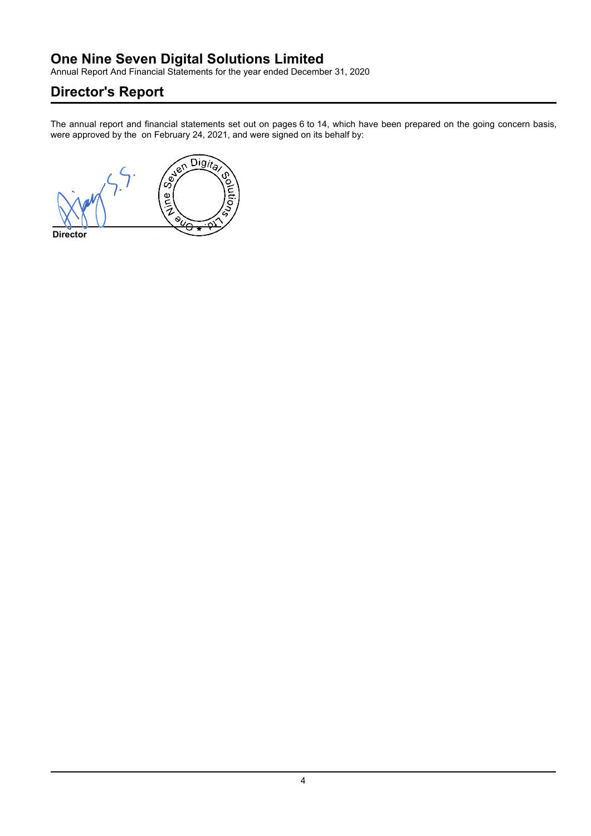Annual Report And Financial Statements for the year ended December 31, 2020

# **Director's Report**

The annual report and financial statements set out on pages 6 to 14, which have been prepared on the going concern basis, were approved by the on February 24, 2021, and were signed on its behalf by:

**OSICITY**  $\overline{Digit}_{a}$ ٢ ointio.  $rac{1}{2}$  $\ddot{\mathbf{Q}}$ **Director**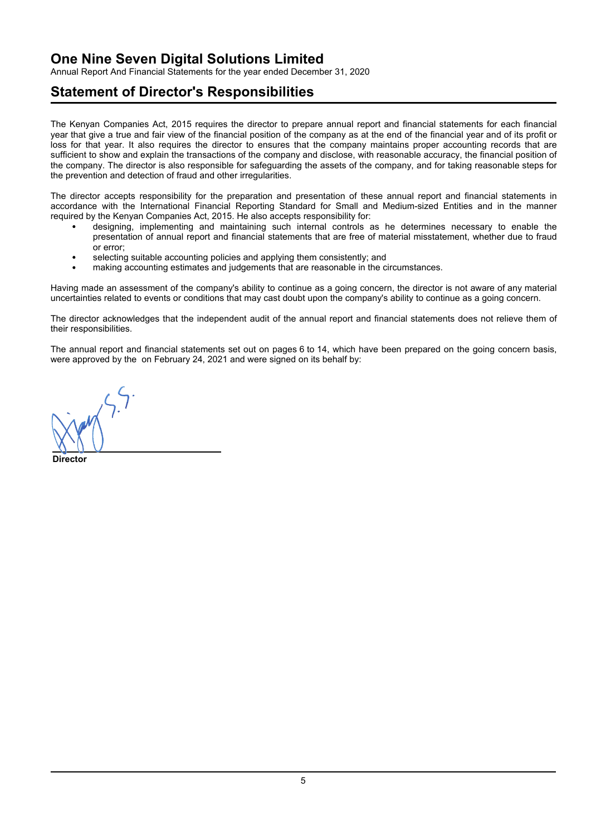Annual Report And Financial Statements for the year ended December 31, 2020

### **Statement of Director's Responsibilities**

The Kenyan Companies Act, 2015 requires the director to prepare annual report and financial statements for each financial year that give a true and fair view of the financial position of the company as at the end of the financial year and of its profit or loss for that year. It also requires the director to ensures that the company maintains proper accounting records that are sufficient to show and explain the transactions of the company and disclose, with reasonable accuracy, the financial position of the company. The director is also responsible for safeguarding the assets of the company, and for taking reasonable steps for the prevention and detection of fraud and other irregularities.

The director accepts responsibility for the preparation and presentation of these annual report and financial statements in accordance with the International Financial Reporting Standard for Small and Medium-sized Entities and in the manner required by the Kenyan Companies Act, 2015. He also accepts responsibility for:

- designing, implementing and maintaining such internal controls as he determines necessary to enable the presentation of annual report and financial statements that are free of material misstatement, whether due to fraud or error;
- selecting suitable accounting policies and applying them consistently; and
- making accounting estimates and judgements that are reasonable in the circumstances.

Having made an assessment of the company's ability to continue as a going concern, the director is not aware of any material uncertainties related to events or conditions that may cast doubt upon the company's ability to continue as a going concern.

The director acknowledges that the independent audit of the annual report and financial statements does not relieve them of their responsibilities.

The annual report and financial statements set out on pages 6 to 14, which have been prepared on the going concern basis, were approved by the on February 24, 2021 and were signed on its behalf by:

Digita c. ⁄<br>े e<br>Vir  $\sqrt[6]{\circ \star}$ **Director**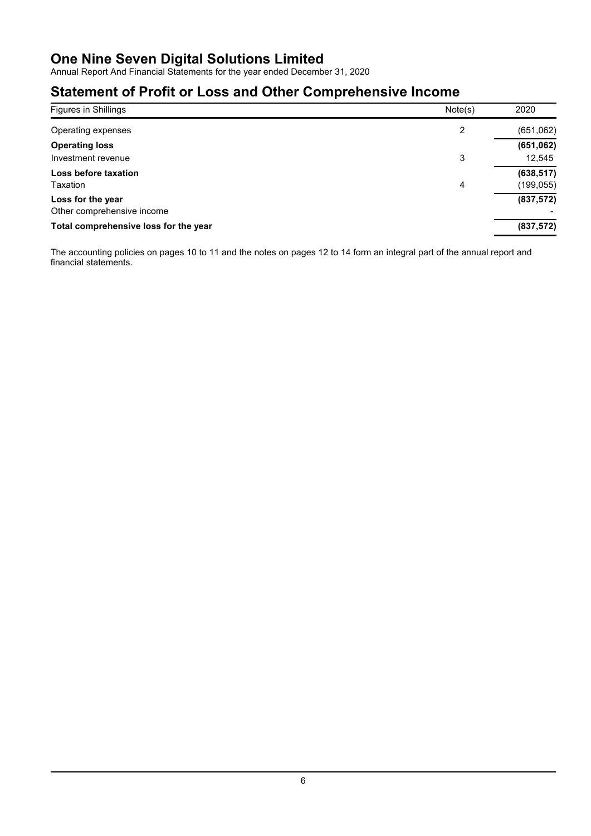Annual Report And Financial Statements for the year ended December 31, 2020

# **Statement of Profit or Loss and Other Comprehensive Income**

| Figures in Shillings                  | Note(s) | 2020       |
|---------------------------------------|---------|------------|
| Operating expenses                    | 2       | (651,062)  |
| <b>Operating loss</b>                 |         | (651, 062) |
| Investment revenue                    | 3       | 12,545     |
| Loss before taxation                  |         | (638, 517) |
| Taxation                              | 4       | (199, 055) |
| Loss for the year                     |         | (837, 572) |
| Other comprehensive income            |         |            |
| Total comprehensive loss for the year |         | (837, 572) |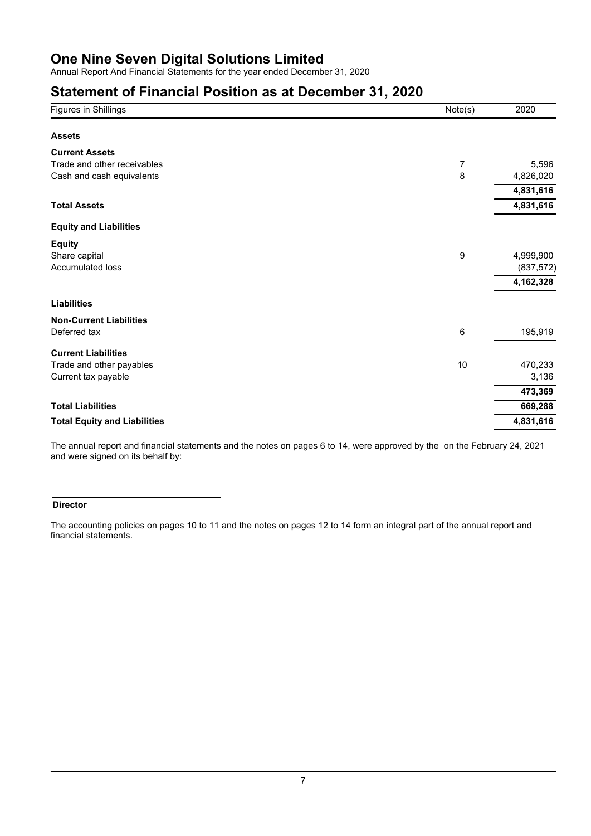Annual Report And Financial Statements for the year ended December 31, 2020

### **Statement of Financial Position as at December 31, 2020**

| Figures in Shillings                | Note(s) | 2020       |
|-------------------------------------|---------|------------|
|                                     |         |            |
| <b>Assets</b>                       |         |            |
| <b>Current Assets</b>               |         |            |
| Trade and other receivables         | 7       | 5,596      |
| Cash and cash equivalents           | 8       | 4,826,020  |
|                                     |         | 4,831,616  |
| <b>Total Assets</b>                 |         | 4,831,616  |
| <b>Equity and Liabilities</b>       |         |            |
| <b>Equity</b>                       |         |            |
| Share capital                       | 9       | 4,999,900  |
| Accumulated loss                    |         | (837, 572) |
|                                     |         | 4,162,328  |
| <b>Liabilities</b>                  |         |            |
| <b>Non-Current Liabilities</b>      |         |            |
| Deferred tax                        | 6       | 195,919    |
| <b>Current Liabilities</b>          |         |            |
| Trade and other payables            | 10      | 470,233    |
| Current tax payable                 |         | 3,136      |
|                                     |         | 473,369    |
| <b>Total Liabilities</b>            |         | 669,288    |
| <b>Total Equity and Liabilities</b> |         | 4,831,616  |
|                                     |         |            |

The annual report and financial statements and the notes on pages 6 to 14, were approved by the on the February 24, 2021 and were signed on its behalf by:

### **Director**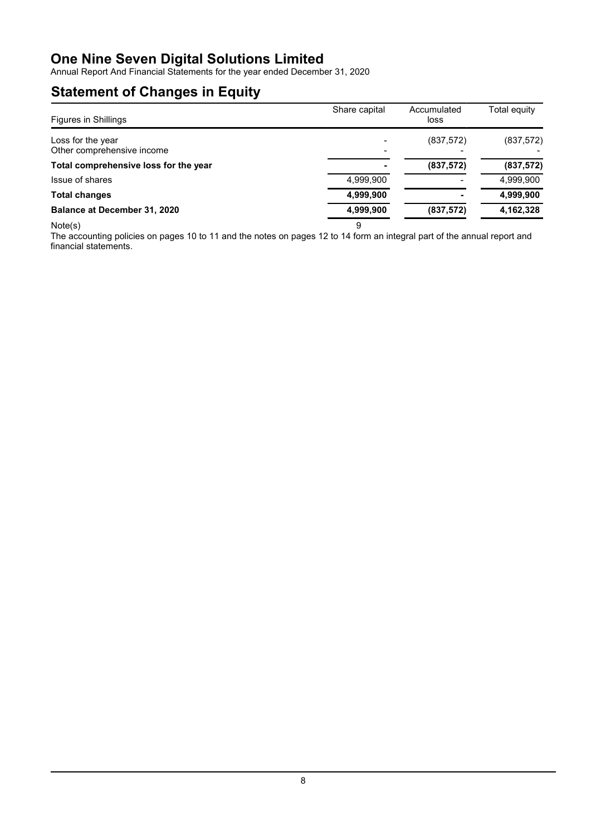Annual Report And Financial Statements for the year ended December 31, 2020

# **Statement of Changes in Equity**

| <b>Figures in Shillings</b>                     | Share capital | Accumulated<br>loss | Total equity |
|-------------------------------------------------|---------------|---------------------|--------------|
| Loss for the year<br>Other comprehensive income |               | (837, 572)          | (837, 572)   |
| Total comprehensive loss for the year           |               | (837, 572)          | (837, 572)   |
| Issue of shares                                 | 4,999,900     |                     | 4,999,900    |
| <b>Total changes</b>                            | 4,999,900     |                     | 4,999,900    |
| Balance at December 31, 2020                    | 4,999,900     | (837, 572)          | 4,162,328    |
| Note(s)                                         | 9             |                     |              |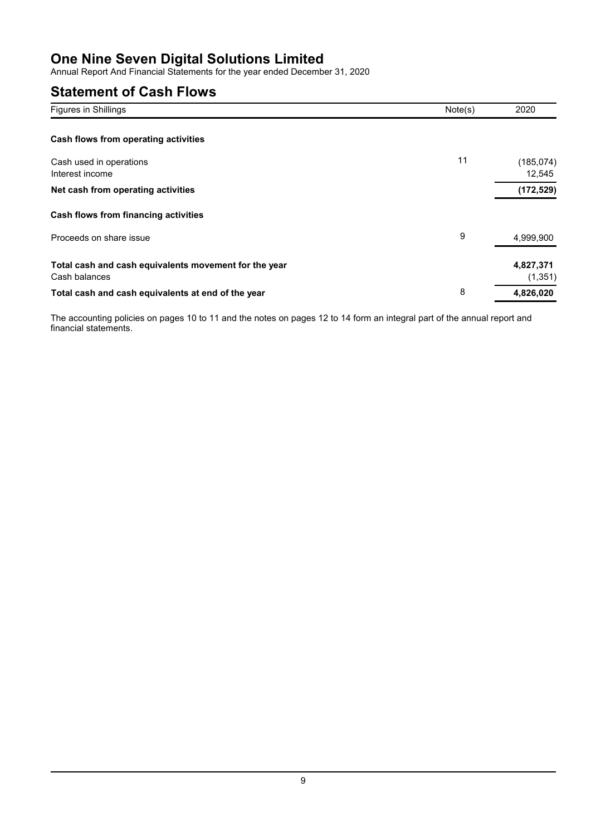Annual Report And Financial Statements for the year ended December 31, 2020

# **Statement of Cash Flows**

| Figures in Shillings                                                   | Note(s) | 2020                  |
|------------------------------------------------------------------------|---------|-----------------------|
| Cash flows from operating activities                                   |         |                       |
| Cash used in operations<br>Interest income                             | 11      | (185, 074)<br>12,545  |
| Net cash from operating activities                                     |         | (172, 529)            |
| Cash flows from financing activities                                   |         |                       |
| Proceeds on share issue                                                | 9       | 4,999,900             |
| Total cash and cash equivalents movement for the year<br>Cash balances |         | 4,827,371<br>(1, 351) |
| Total cash and cash equivalents at end of the year                     | 8       | 4,826,020             |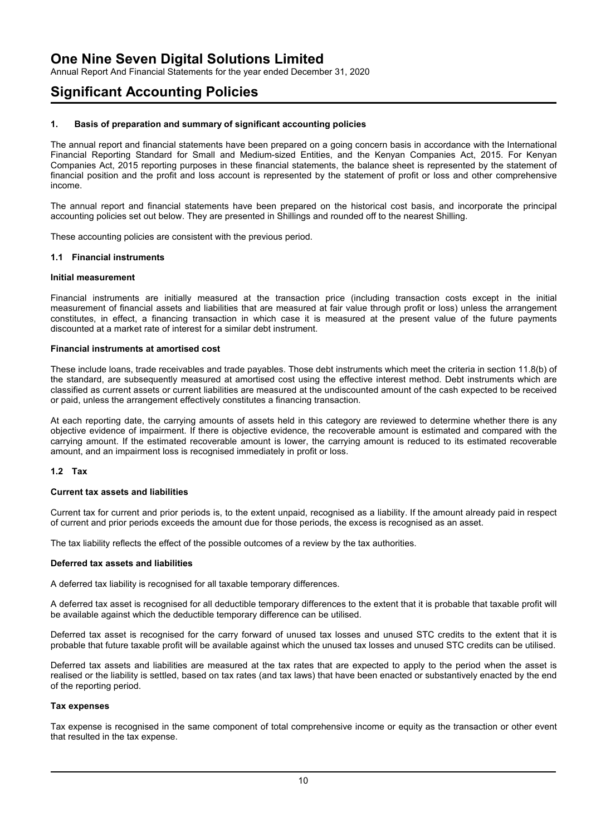Annual Report And Financial Statements for the year ended December 31, 2020

### **Significant Accounting Policies**

### **1. Basis of preparation and summary of significant accounting policies**

The annual report and financial statements have been prepared on a going concern basis in accordance with the International Financial Reporting Standard for Small and Medium-sized Entities, and the Kenyan Companies Act, 2015. For Kenyan Companies Act, 2015 reporting purposes in these financial statements, the balance sheet is represented by the statement of financial position and the profit and loss account is represented by the statement of profit or loss and other comprehensive income.

The annual report and financial statements have been prepared on the historical cost basis, and incorporate the principal accounting policies set out below. They are presented in Shillings and rounded off to the nearest Shilling.

These accounting policies are consistent with the previous period.

#### **1.1 Financial instruments**

#### **Initial measurement**

Financial instruments are initially measured at the transaction price (including transaction costs except in the initial measurement of financial assets and liabilities that are measured at fair value through profit or loss) unless the arrangement constitutes, in effect, a financing transaction in which case it is measured at the present value of the future payments discounted at a market rate of interest for a similar debt instrument.

#### **Financial instruments at amortised cost**

These include loans, trade receivables and trade payables. Those debt instruments which meet the criteria in section 11.8(b) of the standard, are subsequently measured at amortised cost using the effective interest method. Debt instruments which are classified as current assets or current liabilities are measured at the undiscounted amount of the cash expected to be received or paid, unless the arrangement effectively constitutes a financing transaction.

At each reporting date, the carrying amounts of assets held in this category are reviewed to determine whether there is any objective evidence of impairment. If there is objective evidence, the recoverable amount is estimated and compared with the carrying amount. If the estimated recoverable amount is lower, the carrying amount is reduced to its estimated recoverable amount, and an impairment loss is recognised immediately in profit or loss.

### **1.2 Tax**

#### **Current tax assets and liabilities**

Current tax for current and prior periods is, to the extent unpaid, recognised as a liability. If the amount already paid in respect of current and prior periods exceeds the amount due for those periods, the excess is recognised as an asset.

The tax liability reflects the effect of the possible outcomes of a review by the tax authorities.

#### **Deferred tax assets and liabilities**

A deferred tax liability is recognised for all taxable temporary differences.

A deferred tax asset is recognised for all deductible temporary differences to the extent that it is probable that taxable profit will be available against which the deductible temporary difference can be utilised.

Deferred tax asset is recognised for the carry forward of unused tax losses and unused STC credits to the extent that it is probable that future taxable profit will be available against which the unused tax losses and unused STC credits can be utilised.

Deferred tax assets and liabilities are measured at the tax rates that are expected to apply to the period when the asset is realised or the liability is settled, based on tax rates (and tax laws) that have been enacted or substantively enacted by the end of the reporting period.

#### **Tax expenses**

Tax expense is recognised in the same component of total comprehensive income or equity as the transaction or other event that resulted in the tax expense.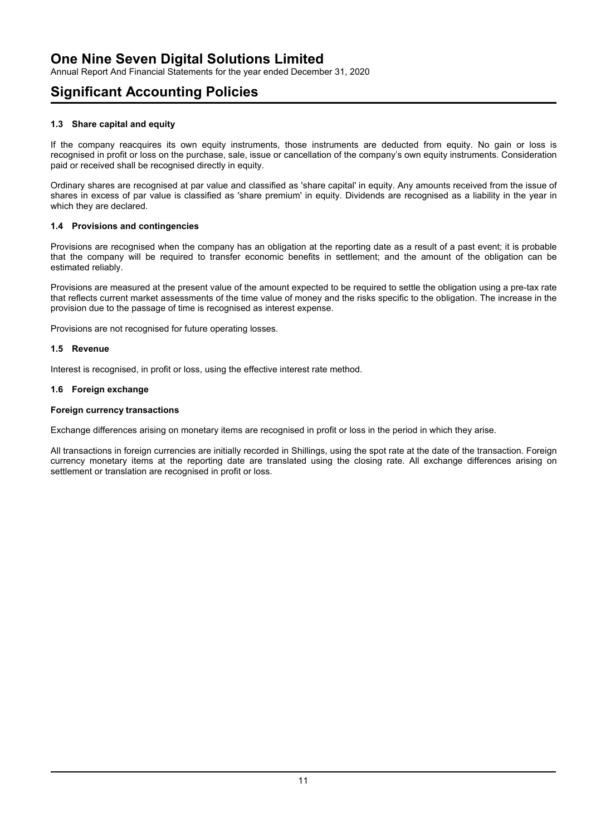Annual Report And Financial Statements for the year ended December 31, 2020

# **Significant Accounting Policies**

### **1.3 Share capital and equity**

If the company reacquires its own equity instruments, those instruments are deducted from equity. No gain or loss is recognised in profit or loss on the purchase, sale, issue or cancellation of the company's own equity instruments. Consideration paid or received shall be recognised directly in equity.

Ordinary shares are recognised at par value and classified as 'share capital' in equity. Any amounts received from the issue of shares in excess of par value is classified as 'share premium' in equity. Dividends are recognised as a liability in the year in which they are declared.

### **1.4 Provisions and contingencies**

Provisions are recognised when the company has an obligation at the reporting date as a result of a past event; it is probable that the company will be required to transfer economic benefits in settlement; and the amount of the obligation can be estimated reliably.

Provisions are measured at the present value of the amount expected to be required to settle the obligation using a pre-tax rate that reflects current market assessments of the time value of money and the risks specific to the obligation. The increase in the provision due to the passage of time is recognised as interest expense.

Provisions are not recognised for future operating losses.

### **1.5 Revenue**

Interest is recognised, in profit or loss, using the effective interest rate method.

### **1.6 Foreign exchange**

### **Foreign currency transactions**

Exchange differences arising on monetary items are recognised in profit or loss in the period in which they arise.

All transactions in foreign currencies are initially recorded in Shillings, using the spot rate at the date of the transaction. Foreign currency monetary items at the reporting date are translated using the closing rate. All exchange differences arising on settlement or translation are recognised in profit or loss.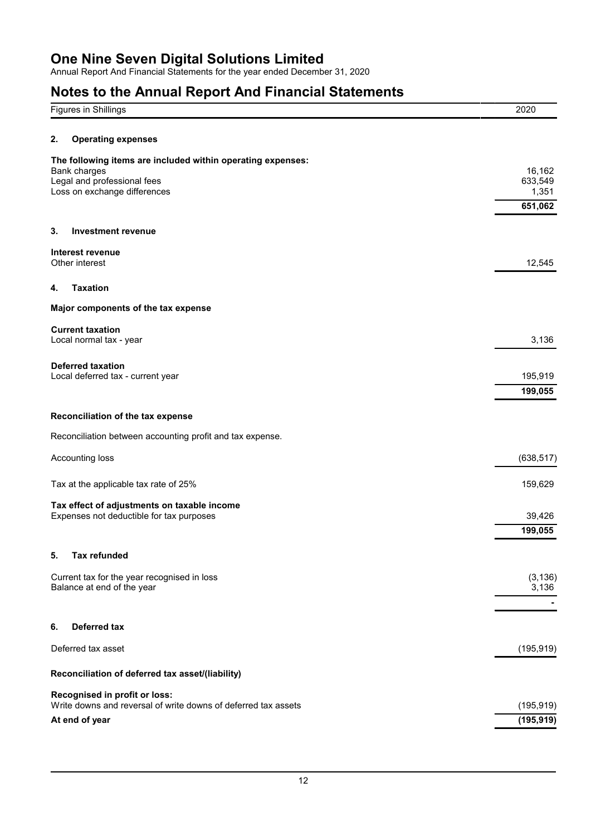Annual Report And Financial Statements for the year ended December 31, 2020

# **Notes to the Annual Report And Financial Statements**

| Figures in Shillings                                                                                                                              | 2020                       |
|---------------------------------------------------------------------------------------------------------------------------------------------------|----------------------------|
| 2.<br><b>Operating expenses</b>                                                                                                                   |                            |
| The following items are included within operating expenses:<br><b>Bank charges</b><br>Legal and professional fees<br>Loss on exchange differences | 16,162<br>633,549<br>1,351 |
|                                                                                                                                                   | 651,062                    |
| 3.<br><b>Investment revenue</b>                                                                                                                   |                            |
| Interest revenue<br>Other interest                                                                                                                | 12,545                     |
| <b>Taxation</b><br>4.                                                                                                                             |                            |
| Major components of the tax expense                                                                                                               |                            |
| <b>Current taxation</b><br>Local normal tax - year                                                                                                | 3,136                      |
| <b>Deferred taxation</b><br>Local deferred tax - current year                                                                                     | 195,919<br>199,055         |
| Reconciliation of the tax expense                                                                                                                 |                            |
| Reconciliation between accounting profit and tax expense.                                                                                         |                            |
| Accounting loss                                                                                                                                   | (638, 517)                 |
| Tax at the applicable tax rate of 25%                                                                                                             | 159,629                    |
| Tax effect of adjustments on taxable income<br>Expenses not deductible for tax purposes                                                           | 39,426<br>199,055          |
| <b>Tax refunded</b><br>5.                                                                                                                         |                            |
| Current tax for the year recognised in loss<br>Balance at end of the year                                                                         | (3, 136)<br>3,136          |
| Deferred tax<br>6.                                                                                                                                |                            |
| Deferred tax asset                                                                                                                                | (195, 919)                 |
| Reconciliation of deferred tax asset/(liability)                                                                                                  |                            |
| Recognised in profit or loss:<br>Write downs and reversal of write downs of deferred tax assets                                                   | (195, 919)                 |
| At end of year                                                                                                                                    | (195, 919)                 |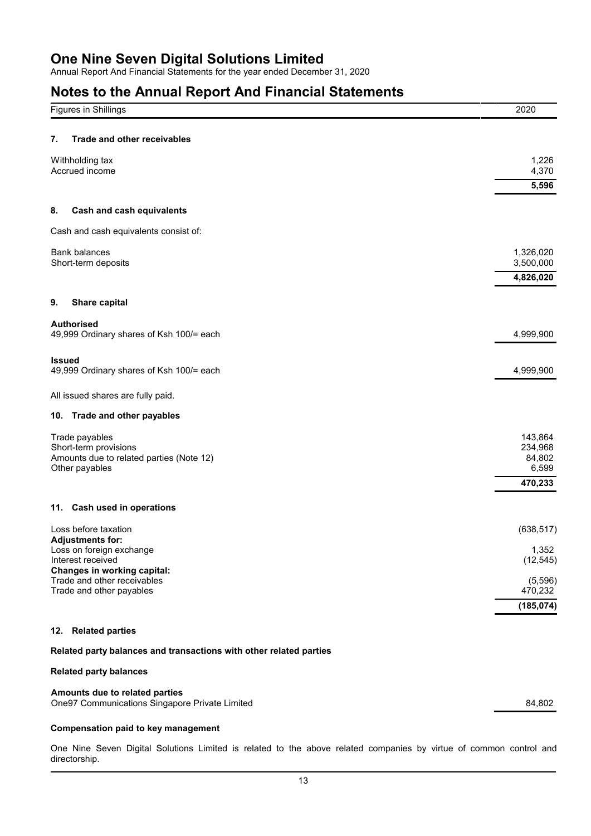Annual Report And Financial Statements for the year ended December 31, 2020

# **Notes to the Annual Report And Financial Statements**

| <b>Figures in Shillings</b>                                | 2020               |
|------------------------------------------------------------|--------------------|
|                                                            |                    |
| Trade and other receivables<br>7.                          |                    |
| Withholding tax                                            | 1,226              |
| Accrued income                                             | 4,370<br>5,596     |
|                                                            |                    |
| <b>Cash and cash equivalents</b><br>8.                     |                    |
| Cash and cash equivalents consist of:                      |                    |
| <b>Bank balances</b>                                       | 1,326,020          |
| Short-term deposits                                        | 3,500,000          |
|                                                            | 4,826,020          |
| Share capital<br>9.                                        |                    |
| <b>Authorised</b>                                          |                    |
| 49,999 Ordinary shares of Ksh 100/= each                   | 4,999,900          |
| <b>Issued</b>                                              |                    |
| 49,999 Ordinary shares of Ksh 100/= each                   | 4,999,900          |
| All issued shares are fully paid.                          |                    |
| 10. Trade and other payables                               |                    |
|                                                            |                    |
| Trade payables<br>Short-term provisions                    | 143,864<br>234,968 |
| Amounts due to related parties (Note 12)                   | 84,802             |
| Other payables                                             | 6,599<br>470,233   |
|                                                            |                    |
| 11. Cash used in operations                                |                    |
| Loss before taxation                                       | (638, 517)         |
| <b>Adjustments for:</b><br>Loss on foreign exchange        | 1,352              |
| Interest received                                          | (12, 545)          |
| Changes in working capital:<br>Trade and other receivables | (5,596)            |
| Trade and other payables                                   | 470,232            |
|                                                            | (185, 074)         |
| 12. Related parties                                        |                    |
|                                                            |                    |

### **Related party balances and transactions with other related parties**

### **Related party balances**

### **Amounts due to related parties**

One97 Communications Singapore Private Limited 84,802

### **Compensation paid to key management**

One Nine Seven Digital Solutions Limited is related to the above related companies by virtue of common control and directorship.